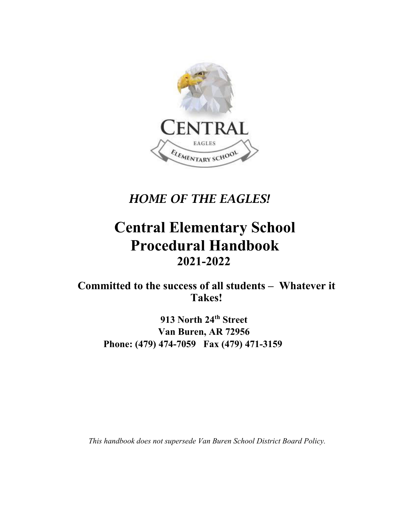

*HOME OF THE EAGLES!* 

# **Central Elementary School Procedural Handbook 2021-2022**

**Committed to the success of all students – Whatever it Takes!** 

**913 North 24th Street Van Buren, AR 72956 Phone: (479) 474-7059 Fax (479) 471-3159** 

*This handbook does not supersede Van Buren School District Board Policy.*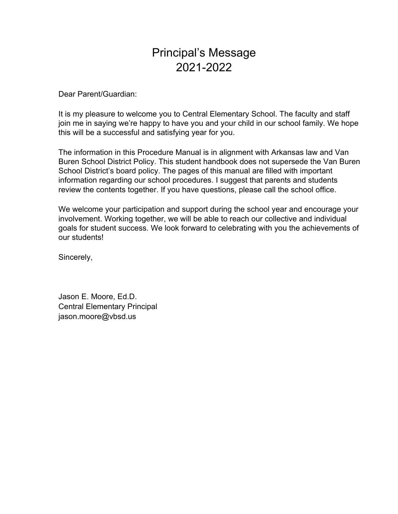# Principal's Message 2021-2022

Dear Parent/Guardian:

It is my pleasure to welcome you to Central Elementary School. The faculty and staff join me in saying we're happy to have you and your child in our school family. We hope this will be a successful and satisfying year for you.

The information in this Procedure Manual is in alignment with Arkansas law and Van Buren School District Policy. This student handbook does not supersede the Van Buren School District's board policy. The pages of this manual are filled with important information regarding our school procedures. I suggest that parents and students review the contents together. If you have questions, please call the school office.

We welcome your participation and support during the school year and encourage your involvement. Working together, we will be able to reach our collective and individual goals for student success. We look forward to celebrating with you the achievements of our students!

Sincerely,

Jason E. Moore, Ed.D. Central Elementary Principal jason.moore@vbsd.us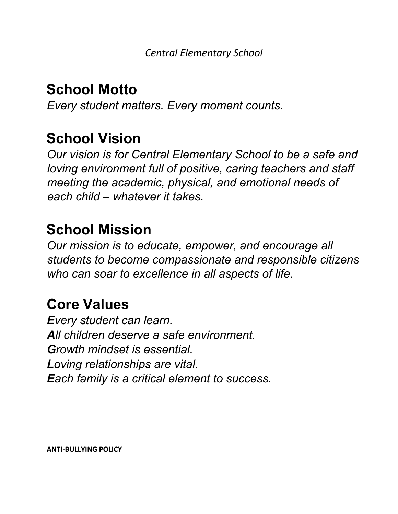# **School Motto**

*Every student matters. Every moment counts.*

# **School Vision**

*Our vision is for Central Elementary School to be a safe and loving environment full of positive, caring teachers and staff meeting the academic, physical, and emotional needs of each child – whatever it takes.* 

# **School Mission**

*Our mission is to educate, empower, and encourage all students to become compassionate and responsible citizens who can soar to excellence in all aspects of life.* 

# **Core Values**

*Every student can learn. All children deserve a safe environment. Growth mindset is essential. Loving relationships are vital. Each family is a critical element to success.* 

**ANTI‐BULLYING POLICY**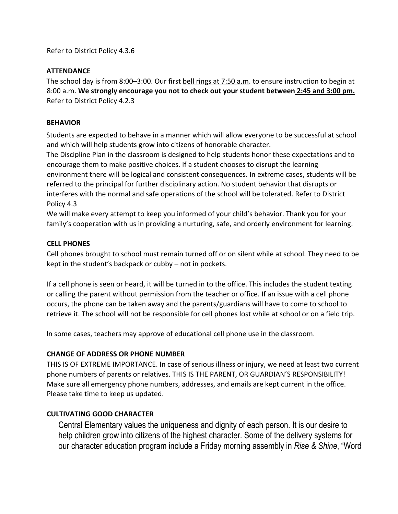Refer to District Policy 4.3.6

### **ATTENDANCE**

The school day is from 8:00–3:00. Our first bell rings at 7:50 a.m. to ensure instruction to begin at 8:00 a.m. **We strongly encourage you not to check out your student between 2:45 and 3:00 pm.** Refer to District Policy 4.2.3

### **BEHAVIOR**

Students are expected to behave in a manner which will allow everyone to be successful at school and which will help students grow into citizens of honorable character.

The Discipline Plan in the classroom is designed to help students honor these expectations and to encourage them to make positive choices. If a student chooses to disrupt the learning environment there will be logical and consistent consequences. In extreme cases, students will be referred to the principal for further disciplinary action. No student behavior that disrupts or interferes with the normal and safe operations of the school will be tolerated. Refer to District Policy 4.3

We will make every attempt to keep you informed of your child's behavior. Thank you for your family's cooperation with us in providing a nurturing, safe, and orderly environment for learning.

#### **CELL PHONES**

Cell phones brought to school must remain turned off or on silent while at school. They need to be kept in the student's backpack or cubby – not in pockets.

If a cell phone is seen or heard, it will be turned in to the office. This includes the student texting or calling the parent without permission from the teacher or office. If an issue with a cell phone occurs, the phone can be taken away and the parents/guardians will have to come to school to retrieve it. The school will not be responsible for cell phones lost while at school or on a field trip.

In some cases, teachers may approve of educational cell phone use in the classroom.

# **CHANGE OF ADDRESS OR PHONE NUMBER**

THIS IS OF EXTREME IMPORTANCE. In case of serious illness or injury, we need at least two current phone numbers of parents or relatives. THIS IS THE PARENT, OR GUARDIAN'S RESPONSIBILITY! Make sure all emergency phone numbers, addresses, and emails are kept current in the office. Please take time to keep us updated.

# **CULTIVATING GOOD CHARACTER**

Central Elementary values the uniqueness and dignity of each person. It is our desire to help children grow into citizens of the highest character. Some of the delivery systems for our character education program include a Friday morning assembly in *Rise & Shine*, "Word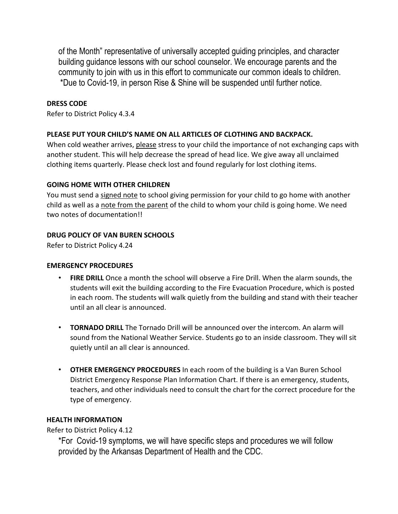of the Month" representative of universally accepted guiding principles, and character building guidance lessons with our school counselor. We encourage parents and the community to join with us in this effort to communicate our common ideals to children. \*Due to Covid-19, in person Rise & Shine will be suspended until further notice.

### **DRESS CODE**

Refer to District Policy 4.3.4

### **PLEASE PUT YOUR CHILD'S NAME ON ALL ARTICLES OF CLOTHING AND BACKPACK.**

When cold weather arrives, please stress to your child the importance of not exchanging caps with another student. This will help decrease the spread of head lice. We give away all unclaimed clothing items quarterly. Please check lost and found regularly for lost clothing items.

### **GOING HOME WITH OTHER CHILDREN**

You must send a signed note to school giving permission for your child to go home with another child as well as a note from the parent of the child to whom your child is going home. We need two notes of documentation!!

### **DRUG POLICY OF VAN BUREN SCHOOLS**

Refer to District Policy 4.24

#### **EMERGENCY PROCEDURES**

- **FIRE DRILL** Once a month the school will observe a Fire Drill. When the alarm sounds, the students will exit the building according to the Fire Evacuation Procedure, which is posted in each room. The students will walk quietly from the building and stand with their teacher until an all clear is announced.
- **TORNADO DRILL** The Tornado Drill will be announced over the intercom. An alarm will sound from the National Weather Service. Students go to an inside classroom. They will sit quietly until an all clear is announced.
- **OTHER EMERGENCY PROCEDURES** In each room of the building is a Van Buren School District Emergency Response Plan Information Chart. If there is an emergency, students, teachers, and other individuals need to consult the chart for the correct procedure for the type of emergency.

# **HEALTH INFORMATION**

Refer to District Policy 4.12

\*For Covid-19 symptoms, we will have specific steps and procedures we will follow provided by the Arkansas Department of Health and the CDC.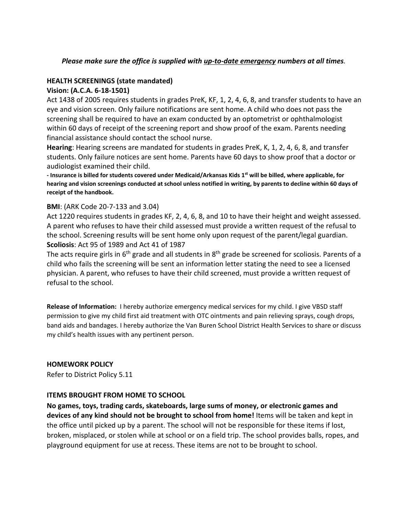# *Please make sure the office is supplied with up‐to‐date emergency numbers at all times.*

### **HEALTH SCREENINGS (state mandated)**

#### **Vision: (A.C.A. 6‐18‐1501)**

Act 1438 of 2005 requires students in grades PreK, KF, 1, 2, 4, 6, 8, and transfer students to have an eye and vision screen. Only failure notifications are sent home. A child who does not pass the screening shall be required to have an exam conducted by an optometrist or ophthalmologist within 60 days of receipt of the screening report and show proof of the exam. Parents needing financial assistance should contact the school nurse.

**Hearing**: Hearing screens are mandated for students in grades PreK, K, 1, 2, 4, 6, 8, and transfer students. Only failure notices are sent home. Parents have 60 days to show proof that a doctor or audiologist examined their child.

- Insurance is billed for students covered under Medicaid/Arkansas Kids 1<sup>st</sup> will be billed, where applicable, for hearing and vision screenings conducted at school unless notified in writing, by parents to decline within 60 days of **receipt of the handbook.** 

### **BMI**: (ARK Code 20‐7‐133 and 3.04)

Act 1220 requires students in grades KF, 2, 4, 6, 8, and 10 to have their height and weight assessed. A parent who refuses to have their child assessed must provide a written request of the refusal to the school. Screening results will be sent home only upon request of the parent/legal guardian. **Scoliosis**: Act 95 of 1989 and Act 41 of 1987

The acts require girls in  $6<sup>th</sup>$  grade and all students in  $8<sup>th</sup>$  grade be screened for scoliosis. Parents of a child who fails the screening will be sent an information letter stating the need to see a licensed physician. A parent, who refuses to have their child screened, must provide a written request of refusal to the school.

**Release of Information:** I hereby authorize emergency medical services for my child. I give VBSD staff permission to give my child first aid treatment with OTC ointments and pain relieving sprays, cough drops, band aids and bandages. I hereby authorize the Van Buren School District Health Services to share or discuss my child's health issues with any pertinent person.

# **HOMEWORK POLICY**

Refer to District Policy 5.11

#### **ITEMS BROUGHT FROM HOME TO SCHOOL**

**No games, toys, trading cards, skateboards, large sums of money, or electronic games and devices of any kind should not be brought to school from home!** Items will be taken and kept in the office until picked up by a parent. The school will not be responsible for these items if lost, broken, misplaced, or stolen while at school or on a field trip. The school provides balls, ropes, and playground equipment for use at recess. These items are not to be brought to school.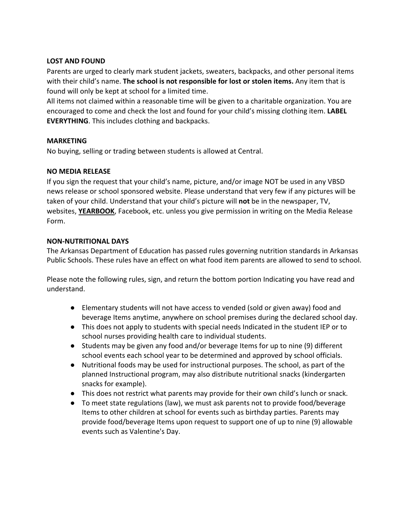### **LOST AND FOUND**

Parents are urged to clearly mark student jackets, sweaters, backpacks, and other personal items with their child's name. **The school is not responsible for lost or stolen items.** Any item that is found will only be kept at school for a limited time.

All items not claimed within a reasonable time will be given to a charitable organization. You are encouraged to come and check the lost and found for your child's missing clothing item. **LABEL EVERYTHING**. This includes clothing and backpacks.

#### **MARKETING**

No buying, selling or trading between students is allowed at Central.

### **NO MEDIA RELEASE**

If you sign the request that your child's name, picture, and/or image NOT be used in any VBSD news release or school sponsored website. Please understand that very few if any pictures will be taken of your child. Understand that your child's picture will **not** be in the newspaper, TV, websites, **YEARBOOK**, Facebook, etc. unless you give permission in writing on the Media Release Form.

### **NON‐NUTRITIONAL DAYS**

The Arkansas Department of Education has passed rules governing nutrition standards in Arkansas Public Schools. These rules have an effect on what food item parents are allowed to send to school.

Please note the following rules, sign, and return the bottom portion Indicating you have read and understand.

- Elementary students will not have access to vended (sold or given away) food and beverage Items anytime, anywhere on school premises during the declared school day.
- This does not apply to students with special needs Indicated in the student IEP or to school nurses providing health care to individual students.
- Students may be given any food and/or beverage Items for up to nine (9) different school events each school year to be determined and approved by school officials.
- Nutritional foods may be used for instructional purposes. The school, as part of the planned Instructional program, may also distribute nutritional snacks (kindergarten snacks for example).
- This does not restrict what parents may provide for their own child's lunch or snack.
- To meet state regulations (law), we must ask parents not to provide food/beverage Items to other children at school for events such as birthday parties. Parents may provide food/beverage Items upon request to support one of up to nine (9) allowable events such as Valentine's Day.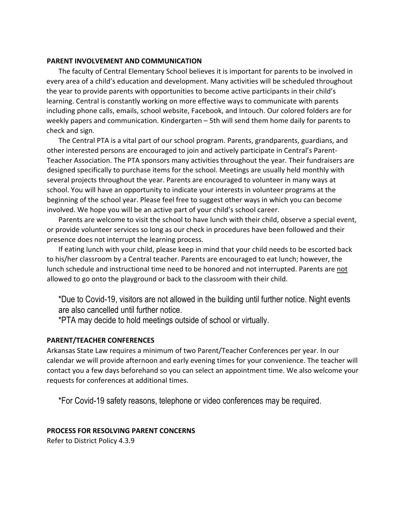#### **PARENT INVOLVEMENT AND COMMUNICATION**

The faculty of Central Elementary School believes it is important for parents to be involved in every area of a child's education and development. Many activities will be scheduled throughout the year to provide parents with opportunities to become active participants in their child's learning. Central is constantly working on more effective ways to communicate with parents including phone calls, emails, school website, Facebook, and Intouch. Our colored folders are for weekly papers and communication. Kindergarten – 5th will send them home daily for parents to check and sign.

 The Central PTA is a vital part of our school program. Parents, grandparents, guardians, and other interested persons are encouraged to join and actively participate in Central's Parent‐ Teacher Association. The PTA sponsors many activities throughout the year. Their fundraisers are designed specifically to purchase items for the school. Meetings are usually held monthly with several projects throughout the year. Parents are encouraged to volunteer in many ways at school. You will have an opportunity to indicate your interests in volunteer programs at the beginning of the school year. Please feel free to suggest other ways in which you can become involved. We hope you will be an active part of your child's school career.

 Parents are welcome to visit the school to have lunch with their child, observe a special event, or provide volunteer services so long as our check in procedures have been followed and their presence does not interrupt the learning process.

 If eating lunch with your child, please keep in mind that your child needs to be escorted back to his/her classroom by a Central teacher. Parents are encouraged to eat lunch; however, the lunch schedule and instructional time need to be honored and not interrupted. Parents are not allowed to go onto the playground or back to the classroom with their child.

\*Due to Covid-19, visitors are not allowed in the building until further notice. Night events are also cancelled until further notice.

\*PTA may decide to hold meetings outside of school or virtually.

#### **PARENT/TEACHER CONFERENCES**

Arkansas State Law requires a minimum of two Parent/Teacher Conferences per year. In our calendar we will provide afternoon and early evening times for your convenience. The teacher will contact you a few days beforehand so you can select an appointment time. We also welcome your requests for conferences at additional times.

\*For Covid-19 safety reasons, telephone or video conferences may be required.

#### **PROCESS FOR RESOLVING PARENT CONCERNS**

Refer to District Policy 4.3.9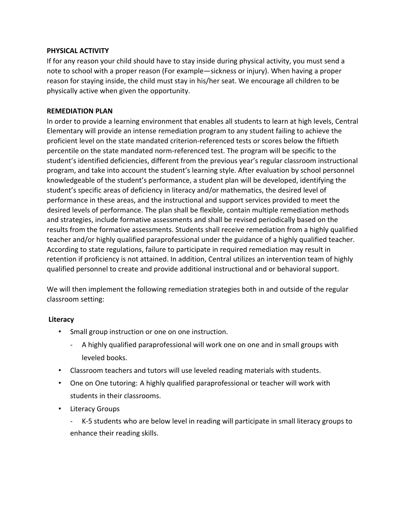#### **PHYSICAL ACTIVITY**

If for any reason your child should have to stay inside during physical activity, you must send a note to school with a proper reason (For example—sickness or injury). When having a proper reason for staying inside, the child must stay in his/her seat. We encourage all children to be physically active when given the opportunity.

#### **REMEDIATION PLAN**

In order to provide a learning environment that enables all students to learn at high levels, Central Elementary will provide an intense remediation program to any student failing to achieve the proficient level on the state mandated criterion‐referenced tests or scores below the fiftieth percentile on the state mandated norm‐referenced test. The program will be specific to the student's identified deficiencies, different from the previous year's regular classroom instructional program, and take into account the student's learning style. After evaluation by school personnel knowledgeable of the student's performance, a student plan will be developed, identifying the student's specific areas of deficiency in literacy and/or mathematics, the desired level of performance in these areas, and the instructional and support services provided to meet the desired levels of performance. The plan shall be flexible, contain multiple remediation methods and strategies, include formative assessments and shall be revised periodically based on the results from the formative assessments. Students shall receive remediation from a highly qualified teacher and/or highly qualified paraprofessional under the guidance of a highly qualified teacher. According to state regulations, failure to participate in required remediation may result in retention if proficiency is not attained. In addition, Central utilizes an intervention team of highly qualified personnel to create and provide additional instructional and or behavioral support.

We will then implement the following remediation strategies both in and outside of the regular classroom setting:

#### **Literacy**

- Small group instruction or one on one instruction.
	- ‐ A highly qualified paraprofessional will work one on one and in small groups with leveled books.
- Classroom teachers and tutors will use leveled reading materials with students.
- One on One tutoring: A highly qualified paraprofessional or teacher will work with students in their classrooms.
- Literacy Groups
	- ‐ K‐5 students who are below level in reading will participate in small literacy groups to enhance their reading skills.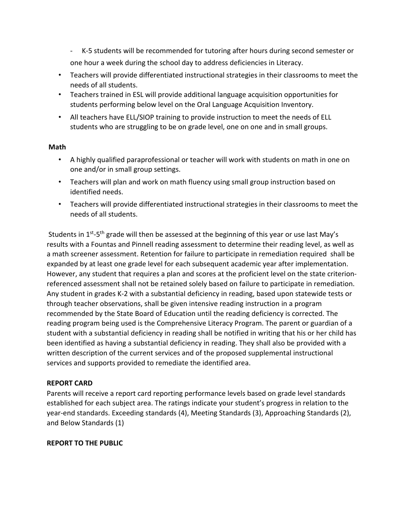‐ K‐5 students will be recommended for tutoring after hours during second semester or one hour a week during the school day to address deficiencies in Literacy.

- Teachers will provide differentiated instructional strategies in their classrooms to meet the needs of all students.
- Teachers trained in ESL will provide additional language acquisition opportunities for students performing below level on the Oral Language Acquisition Inventory.
- All teachers have ELL/SIOP training to provide instruction to meet the needs of ELL students who are struggling to be on grade level, one on one and in small groups.

# **Math**

- A highly qualified paraprofessional or teacher will work with students on math in one on one and/or in small group settings.
- Teachers will plan and work on math fluency using small group instruction based on identified needs.
- Teachers will provide differentiated instructional strategies in their classrooms to meet the needs of all students.

Students in 1<sup>st</sup>-5<sup>th</sup> grade will then be assessed at the beginning of this year or use last May's results with a Fountas and Pinnell reading assessment to determine their reading level, as well as a math screener assessment. Retention for failure to participate in remediation required shall be expanded by at least one grade level for each subsequent academic year after implementation. However, any student that requires a plan and scores at the proficient level on the state criterion‐ referenced assessment shall not be retained solely based on failure to participate in remediation. Any student in grades K‐2 with a substantial deficiency in reading, based upon statewide tests or through teacher observations, shall be given intensive reading instruction in a program recommended by the State Board of Education until the reading deficiency is corrected. The reading program being used is the Comprehensive Literacy Program. The parent or guardian of a student with a substantial deficiency in reading shall be notified in writing that his or her child has been identified as having a substantial deficiency in reading. They shall also be provided with a written description of the current services and of the proposed supplemental instructional services and supports provided to remediate the identified area.

# **REPORT CARD**

Parents will receive a report card reporting performance levels based on grade level standards established for each subject area. The ratings indicate your student's progress in relation to the year‐end standards. Exceeding standards (4), Meeting Standards (3), Approaching Standards (2), and Below Standards (1)

# **REPORT TO THE PUBLIC**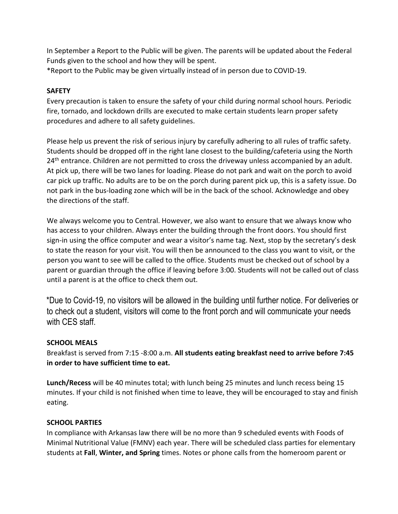In September a Report to the Public will be given. The parents will be updated about the Federal Funds given to the school and how they will be spent.

\*Report to the Public may be given virtually instead of in person due to COVID‐19.

# **SAFETY**

Every precaution is taken to ensure the safety of your child during normal school hours. Periodic fire, tornado, and lockdown drills are executed to make certain students learn proper safety procedures and adhere to all safety guidelines.

Please help us prevent the risk of serious injury by carefully adhering to all rules of traffic safety. Students should be dropped off in the right lane closest to the building/cafeteria using the North 24<sup>th</sup> entrance. Children are not permitted to cross the driveway unless accompanied by an adult. At pick up, there will be two lanes for loading. Please do not park and wait on the porch to avoid car pick up traffic. No adults are to be on the porch during parent pick up, this is a safety issue. Do not park in the bus-loading zone which will be in the back of the school. Acknowledge and obey the directions of the staff.

We always welcome you to Central. However, we also want to ensure that we always know who has access to your children. Always enter the building through the front doors. You should first sign-in using the office computer and wear a visitor's name tag. Next, stop by the secretary's desk to state the reason for your visit. You will then be announced to the class you want to visit, or the person you want to see will be called to the office. Students must be checked out of school by a parent or guardian through the office if leaving before 3:00. Students will not be called out of class until a parent is at the office to check them out.

\*Due to Covid-19, no visitors will be allowed in the building until further notice. For deliveries or to check out a student, visitors will come to the front porch and will communicate your needs with CES staff.

# **SCHOOL MEALS**

Breakfast is served from 7:15 ‐8:00 a.m. **All students eating breakfast need to arrive before 7:45 in order to have sufficient time to eat.**

**Lunch/Recess** will be 40 minutes total; with lunch being 25 minutes and lunch recess being 15 minutes. If your child is not finished when time to leave, they will be encouraged to stay and finish eating.

# **SCHOOL PARTIES**

In compliance with Arkansas law there will be no more than 9 scheduled events with Foods of Minimal Nutritional Value (FMNV) each year. There will be scheduled class parties for elementary students at **Fall**, **Winter, and Spring** times. Notes or phone calls from the homeroom parent or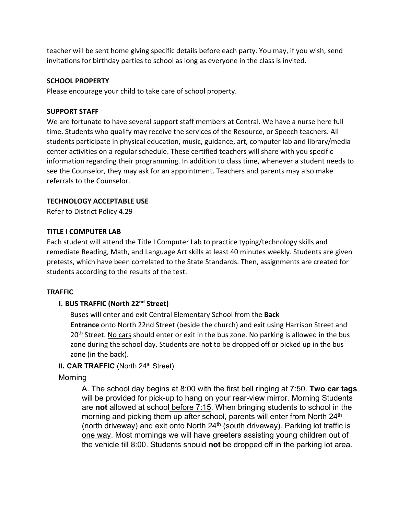teacher will be sent home giving specific details before each party. You may, if you wish, send invitations for birthday parties to school as long as everyone in the class is invited.

### **SCHOOL PROPERTY**

Please encourage your child to take care of school property.

#### **SUPPORT STAFF**

We are fortunate to have several support staff members at Central. We have a nurse here full time. Students who qualify may receive the services of the Resource, or Speech teachers. All students participate in physical education, music, guidance, art, computer lab and library/media center activities on a regular schedule. These certified teachers will share with you specific information regarding their programming. In addition to class time, whenever a student needs to see the Counselor, they may ask for an appointment. Teachers and parents may also make referrals to the Counselor.

# **TECHNOLOGY ACCEPTABLE USE**

Refer to District Policy 4.29

### **TITLE I COMPUTER LAB**

Each student will attend the Title I Computer Lab to practice typing/technology skills and remediate Reading, Math, and Language Art skills at least 40 minutes weekly. Students are given pretests, which have been correlated to the State Standards. Then, assignments are created for students according to the results of the test.

# **TRAFFIC**

# **I. BUS TRAFFIC (North 22nd Street)**

Buses will enter and exit Central Elementary School from the **Back Entrance** onto North 22nd Street (beside the church) and exit using Harrison Street and 20<sup>th</sup> Street. No cars should enter or exit in the bus zone. No parking is allowed in the bus zone during the school day. Students are not to be dropped off or picked up in the bus zone (in the back).

# **II. CAR TRAFFIC** (North 24<sup>th</sup> Street)

# **Morning**

A. The school day begins at 8:00 with the first bell ringing at 7:50. **Two car tags**  will be provided for pick-up to hang on your rear-view mirror. Morning Students are **not** allowed at school before 7:15. When bringing students to school in the morning and picking them up after school, parents will enter from North 24<sup>th</sup> (north driveway) and exit onto North  $24<sup>th</sup>$  (south driveway). Parking lot traffic is one way. Most mornings we will have greeters assisting young children out of the vehicle till 8:00. Students should **not** be dropped off in the parking lot area.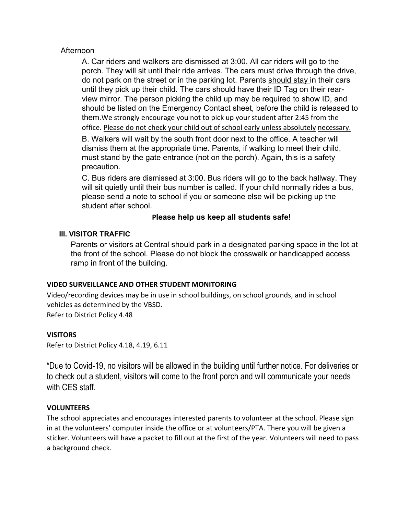# Afternoon

A. Car riders and walkers are dismissed at 3:00. All car riders will go to the porch. They will sit until their ride arrives. The cars must drive through the drive, do not park on the street or in the parking lot. Parents should stay in their cars until they pick up their child. The cars should have their ID Tag on their rearview mirror. The person picking the child up may be required to show ID, and should be listed on the Emergency Contact sheet, before the child is released to them.We strongly encourage you not to pick up your student after 2:45 from the office. Please do not check your child out of school early unless absolutely necessary.

B. Walkers will wait by the south front door next to the office. A teacher will dismiss them at the appropriate time. Parents, if walking to meet their child, must stand by the gate entrance (not on the porch). Again, this is a safety precaution.

C. Bus riders are dismissed at 3:00. Bus riders will go to the back hallway. They will sit quietly until their bus number is called. If your child normally rides a bus, please send a note to school if you or someone else will be picking up the student after school.

# **Please help us keep all students safe!**

### **III. VISITOR TRAFFIC**

Parents or visitors at Central should park in a designated parking space in the lot at the front of the school. Please do not block the crosswalk or handicapped access ramp in front of the building.

#### **VIDEO SURVEILLANCE AND OTHER STUDENT MONITORING**

Video/recording devices may be in use in school buildings, on school grounds, and in school vehicles as determined by the VBSD.

Refer to District Policy 4.48

#### **VISITORS**

Refer to District Policy 4.18, 4.19, 6.11

\*Due to Covid-19, no visitors will be allowed in the building until further notice. For deliveries or to check out a student, visitors will come to the front porch and will communicate your needs with CES staff.

#### **VOLUNTEERS**

The school appreciates and encourages interested parents to volunteer at the school. Please sign in at the volunteers' computer inside the office or at volunteers/PTA. There you will be given a sticker. Volunteers will have a packet to fill out at the first of the year. Volunteers will need to pass a background check.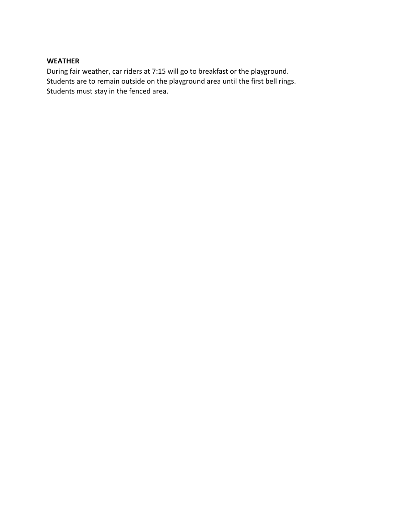#### **WEATHER**

During fair weather, car riders at 7:15 will go to breakfast or the playground. Students are to remain outside on the playground area until the first bell rings. Students must stay in the fenced area.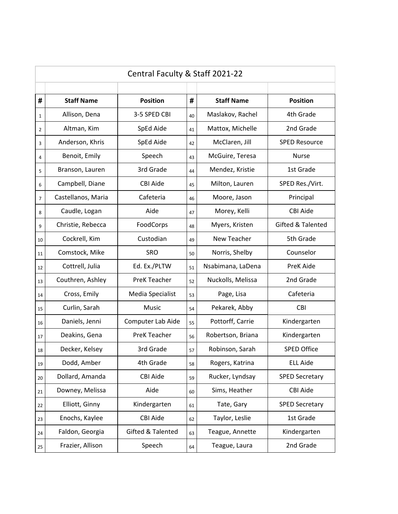| Central Faculty & Staff 2021-22 |                    |                     |    |                   |                              |  |
|---------------------------------|--------------------|---------------------|----|-------------------|------------------------------|--|
|                                 |                    |                     |    |                   |                              |  |
| #                               | <b>Staff Name</b>  | <b>Position</b>     | #  | <b>Staff Name</b> | <b>Position</b>              |  |
| $\mathbf{1}$                    | Allison, Dena      | 3-5 SPED CBI        | 40 | Maslakov, Rachel  | 4th Grade                    |  |
| $\overline{2}$                  | Altman, Kim        | SpEd Aide           | 41 | Mattox, Michelle  | 2nd Grade                    |  |
| 3                               | Anderson, Khris    | SpEd Aide           | 42 | McClaren, Jill    | <b>SPED Resource</b>         |  |
| 4                               | Benoit, Emily      | Speech              | 43 | McGuire, Teresa   | <b>Nurse</b>                 |  |
| 5                               | Branson, Lauren    | 3rd Grade           | 44 | Mendez, Kristie   | 1st Grade                    |  |
| 6                               | Campbell, Diane    | <b>CBI Aide</b>     | 45 | Milton, Lauren    | SPED Res./Virt.              |  |
| $\overline{7}$                  | Castellanos, Maria | Cafeteria           | 46 | Moore, Jason      | Principal                    |  |
| 8                               | Caudle, Logan      | Aide                | 47 | Morey, Kelli      | <b>CBI Aide</b>              |  |
| 9                               | Christie, Rebecca  | FoodCorps           | 48 | Myers, Kristen    | <b>Gifted &amp; Talented</b> |  |
| 10                              | Cockrell, Kim      | Custodian           | 49 | New Teacher       | 5th Grade                    |  |
| 11                              | Comstock, Mike     | <b>SRO</b>          | 50 | Norris, Shelby    | Counselor                    |  |
| 12                              | Cottrell, Julia    | Ed. Ex./PLTW        | 51 | Nsabimana, LaDena | PreK Aide                    |  |
| 13                              | Couthren, Ashley   | <b>PreK Teacher</b> | 52 | Nuckolls, Melissa | 2nd Grade                    |  |
| 14                              | Cross, Emily       | Media Specialist    | 53 | Page, Lisa        | Cafeteria                    |  |
| 15                              | Curlin, Sarah      | <b>Music</b>        | 54 | Pekarek, Abby     | <b>CBI</b>                   |  |
| 16                              | Daniels, Jenni     | Computer Lab Aide   | 55 | Pottorff, Carrie  | Kindergarten                 |  |
| 17                              | Deakins, Gena      | <b>PreK Teacher</b> | 56 | Robertson, Briana | Kindergarten                 |  |
| 18                              | Decker, Kelsey     | 3rd Grade           | 57 | Robinson, Sarah   | <b>SPED Office</b>           |  |
| 19                              | Dodd, Amber        | 4th Grade           | 58 | Rogers, Katrina   | <b>ELL Aide</b>              |  |
| 20                              | Dollard, Amanda    | <b>CBI Aide</b>     | 59 | Rucker, Lyndsay   | <b>SPED Secretary</b>        |  |
| 21                              | Downey, Melissa    | Aide                | 60 | Sims, Heather     | <b>CBI Aide</b>              |  |
| 22                              | Elliott, Ginny     | Kindergarten        | 61 | Tate, Gary        | <b>SPED Secretary</b>        |  |
| 23                              | Enochs, Kaylee     | <b>CBI Aide</b>     | 62 | Taylor, Leslie    | 1st Grade                    |  |
| 24                              | Faldon, Georgia    | Gifted & Talented   | 63 | Teague, Annette   | Kindergarten                 |  |
| 25                              | Frazier, Allison   | Speech              | 64 | Teague, Laura     | 2nd Grade                    |  |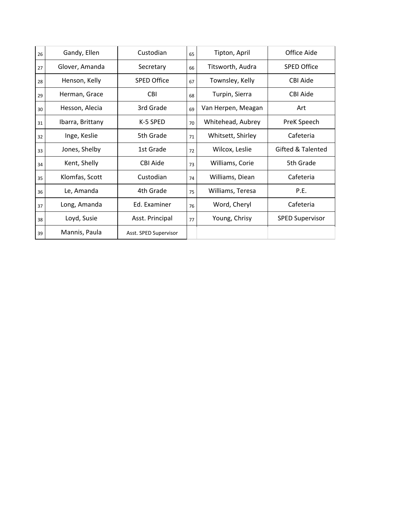| 26 | Gandy, Ellen     | Custodian             | 65 | Tipton, April      | Office Aide            |
|----|------------------|-----------------------|----|--------------------|------------------------|
| 27 | Glover, Amanda   | Secretary             | 66 | Titsworth, Audra   | <b>SPED Office</b>     |
| 28 | Henson, Kelly    | <b>SPED Office</b>    | 67 | Townsley, Kelly    | CBI Aide               |
| 29 | Herman, Grace    | <b>CBI</b>            | 68 | Turpin, Sierra     | CBI Aide               |
| 30 | Hesson, Alecia   | 3rd Grade             | 69 | Van Herpen, Meagan | Art                    |
| 31 | Ibarra, Brittany | K-5 SPED              | 70 | Whitehead, Aubrey  | PreK Speech            |
| 32 | Inge, Keslie     | 5th Grade             | 71 | Whitsett, Shirley  | Cafeteria              |
| 33 | Jones, Shelby    | 1st Grade             | 72 | Wilcox, Leslie     | Gifted & Talented      |
| 34 | Kent, Shelly     | <b>CBI Aide</b>       | 73 | Williams, Corie    | 5th Grade              |
| 35 | Klomfas, Scott   | Custodian             | 74 | Williams, Diean    | Cafeteria              |
| 36 | Le, Amanda       | 4th Grade             | 75 | Williams, Teresa   | P.E.                   |
| 37 | Long, Amanda     | Ed. Examiner          | 76 | Word, Cheryl       | Cafeteria              |
| 38 | Loyd, Susie      | Asst. Principal       | 77 | Young, Chrisy      | <b>SPED Supervisor</b> |
| 39 | Mannis, Paula    | Asst. SPED Supervisor |    |                    |                        |